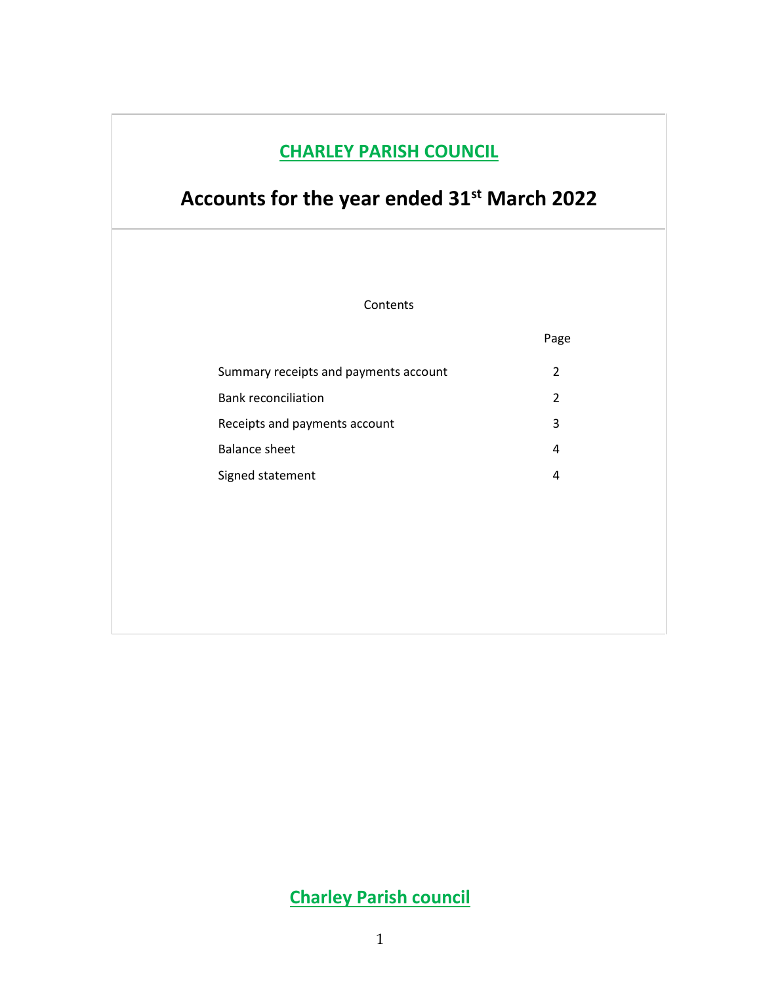## **CHARLEY PARISH COUNCIL**

# **Accounts for the year ended 31st March 2022**

Contents

|                                       | Page          |
|---------------------------------------|---------------|
| Summary receipts and payments account | $\mathcal{P}$ |
| <b>Bank reconciliation</b>            | 2             |
| Receipts and payments account         | 3             |
| Balance sheet                         | 4             |
| Signed statement                      | 4             |

## **Charley Parish council**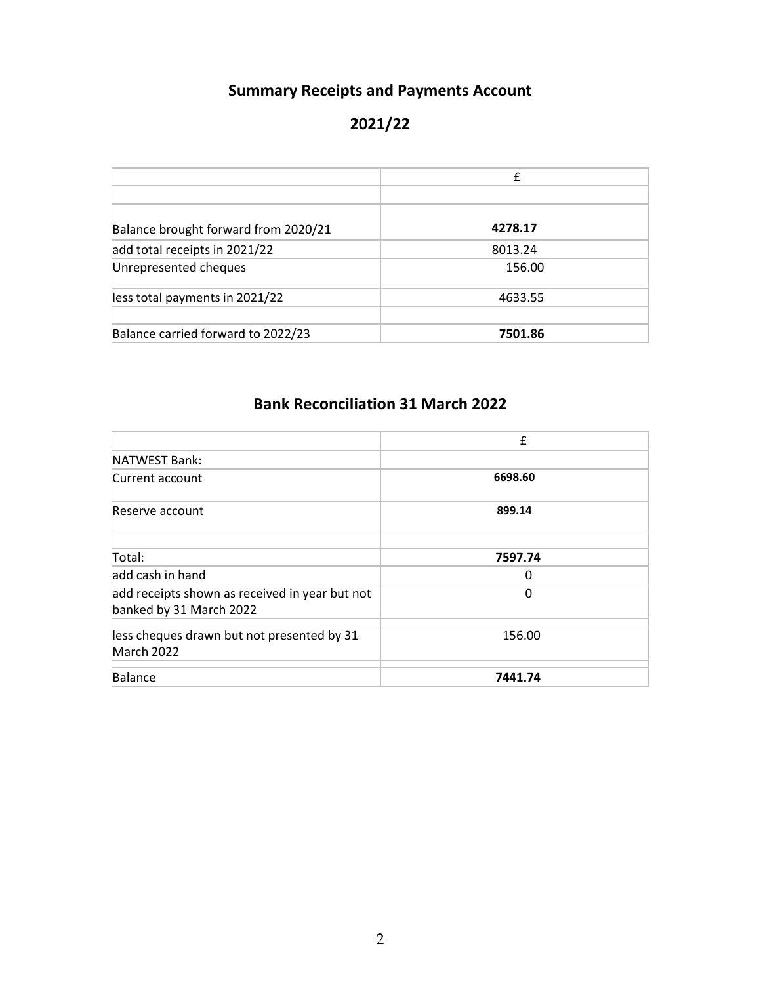#### **Summary Receipts and Payments Account**

#### **2021/22**

|                                      | £       |
|--------------------------------------|---------|
|                                      |         |
| Balance brought forward from 2020/21 | 4278.17 |
| add total receipts in 2021/22        | 8013.24 |
| Unrepresented cheques                | 156.00  |
| less total payments in 2021/22       | 4633.55 |
| Balance carried forward to 2022/23   | 7501.86 |

#### **Bank Reconciliation 31 March 2022**

|                                                                           | $\pmb{\mathsf{f}}$ |
|---------------------------------------------------------------------------|--------------------|
| NATWEST Bank:                                                             |                    |
| Current account                                                           | 6698.60            |
| Reserve account                                                           | 899.14             |
| Total:                                                                    | 7597.74            |
| add cash in hand                                                          | 0                  |
| add receipts shown as received in year but not<br>banked by 31 March 2022 | 0                  |
| less cheques drawn but not presented by 31<br>March 2022                  | 156.00             |
| Balance                                                                   | 7441.74            |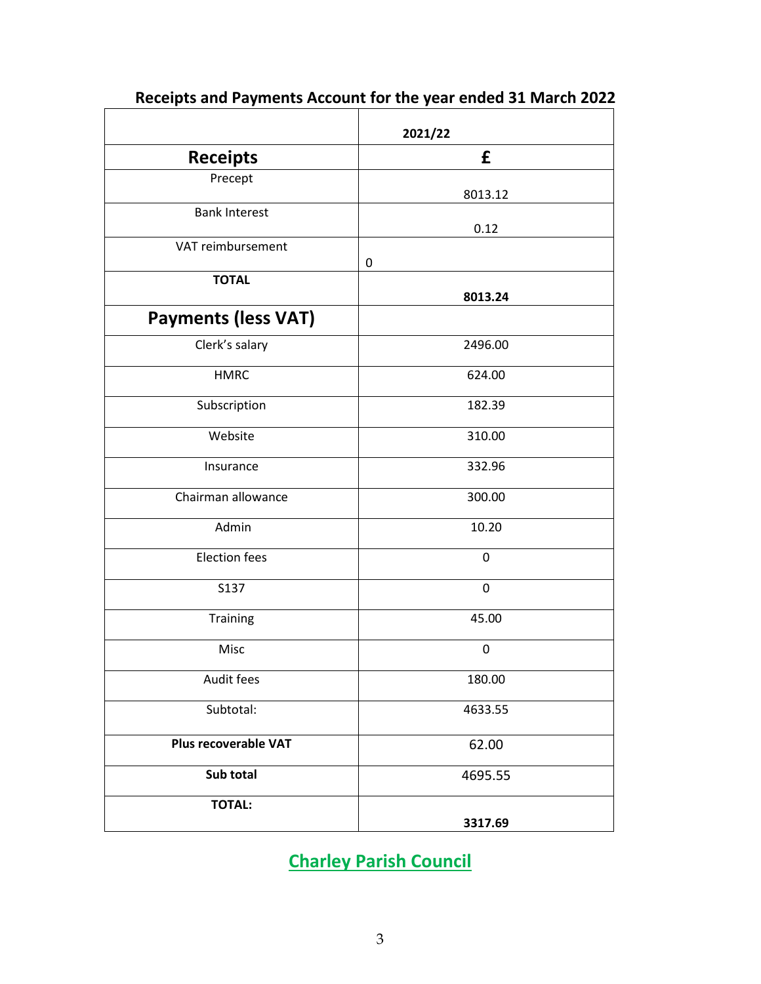|                            | 2021/22     |
|----------------------------|-------------|
| <b>Receipts</b>            | £           |
| Precept                    | 8013.12     |
| <b>Bank Interest</b>       | 0.12        |
| VAT reimbursement          | 0           |
| <b>TOTAL</b>               | 8013.24     |
| <b>Payments (less VAT)</b> |             |
| Clerk's salary             | 2496.00     |
| <b>HMRC</b>                | 624.00      |
| Subscription               | 182.39      |
| Website                    | 310.00      |
| Insurance                  | 332.96      |
| Chairman allowance         | 300.00      |
| Admin                      | 10.20       |
| <b>Election fees</b>       | 0           |
| S137                       | $\pmb{0}$   |
| Training                   | 45.00       |
| Misc                       | $\mathbf 0$ |
| Audit fees                 | 180.00      |
| Subtotal:                  | 4633.55     |
| Plus recoverable VAT       | 62.00       |
| Sub total                  | 4695.55     |
| <b>TOTAL:</b>              | 3317.69     |

 **Receipts and Payments Account for the year ended 31 March 2022**

**Charley Parish Council**